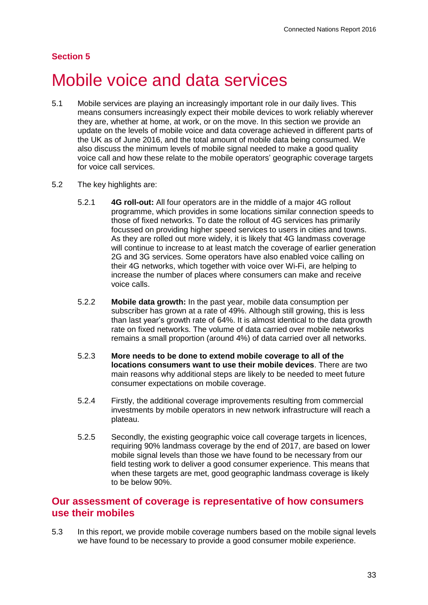## **Section 5**

# Mobile voice and data services

- 5.1 Mobile services are playing an increasingly important role in our daily lives. This means consumers increasingly expect their mobile devices to work reliably wherever they are, whether at home, at work, or on the move. In this section we provide an update on the levels of mobile voice and data coverage achieved in different parts of the UK as of June 2016, and the total amount of mobile data being consumed. We also discuss the minimum levels of mobile signal needed to make a good quality voice call and how these relate to the mobile operators' geographic coverage targets for voice call services.
- 5.2 The key highlights are:
	- 5.2.1 **4G roll-out:** All four operators are in the middle of a major 4G rollout programme, which provides in some locations similar connection speeds to those of fixed networks. To date the rollout of 4G services has primarily focussed on providing higher speed services to users in cities and towns. As they are rolled out more widely, it is likely that 4G landmass coverage will continue to increase to at least match the coverage of earlier generation 2G and 3G services. Some operators have also enabled voice calling on their 4G networks, which together with voice over Wi-Fi, are helping to increase the number of places where consumers can make and receive voice calls.
	- 5.2.2 **Mobile data growth:** In the past year, mobile data consumption per subscriber has grown at a rate of 49%. Although still growing, this is less than last year's growth rate of 64%. It is almost identical to the data growth rate on fixed networks. The volume of data carried over mobile networks remains a small proportion (around 4%) of data carried over all networks.
	- 5.2.3 **More needs to be done to extend mobile coverage to all of the locations consumers want to use their mobile devices**. There are two main reasons why additional steps are likely to be needed to meet future consumer expectations on mobile coverage.
	- 5.2.4 Firstly, the additional coverage improvements resulting from commercial investments by mobile operators in new network infrastructure will reach a plateau.
	- 5.2.5 Secondly, the existing geographic voice call coverage targets in licences, requiring 90% landmass coverage by the end of 2017, are based on lower mobile signal levels than those we have found to be necessary from our field testing work to deliver a good consumer experience. This means that when these targets are met, good geographic landmass coverage is likely to be below 90%.

## **Our assessment of coverage is representative of how consumers use their mobiles**

5.3 In this report, we provide mobile coverage numbers based on the mobile signal levels we have found to be necessary to provide a good consumer mobile experience.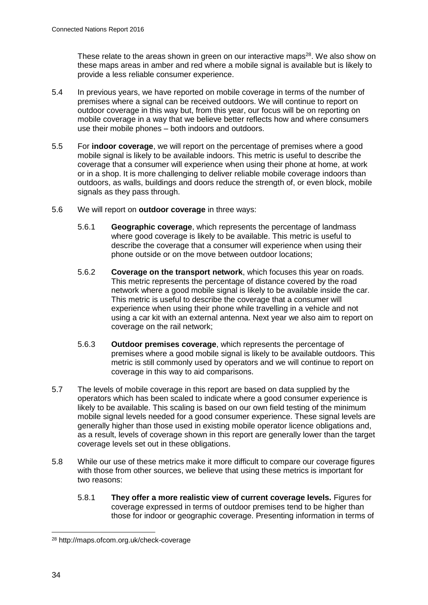These relate to the areas shown in green on our interactive maps $28$ . We also show on these maps areas in amber and red where a mobile signal is available but is likely to provide a less reliable consumer experience.

- 5.4 In previous years, we have reported on mobile coverage in terms of the number of premises where a signal can be received outdoors. We will continue to report on outdoor coverage in this way but, from this year, our focus will be on reporting on mobile coverage in a way that we believe better reflects how and where consumers use their mobile phones – both indoors and outdoors.
- 5.5 For **indoor coverage**, we will report on the percentage of premises where a good mobile signal is likely to be available indoors. This metric is useful to describe the coverage that a consumer will experience when using their phone at home, at work or in a shop. It is more challenging to deliver reliable mobile coverage indoors than outdoors, as walls, buildings and doors reduce the strength of, or even block, mobile signals as they pass through.
- 5.6 We will report on **outdoor coverage** in three ways:
	- 5.6.1 **Geographic coverage**, which represents the percentage of landmass where good coverage is likely to be available. This metric is useful to describe the coverage that a consumer will experience when using their phone outside or on the move between outdoor locations;
	- 5.6.2 **Coverage on the transport network**, which focuses this year on roads. This metric represents the percentage of distance covered by the road network where a good mobile signal is likely to be available inside the car. This metric is useful to describe the coverage that a consumer will experience when using their phone while travelling in a vehicle and not using a car kit with an external antenna. Next year we also aim to report on coverage on the rail network;
	- 5.6.3 **Outdoor premises coverage**, which represents the percentage of premises where a good mobile signal is likely to be available outdoors. This metric is still commonly used by operators and we will continue to report on coverage in this way to aid comparisons.
- 5.7 The levels of mobile coverage in this report are based on data supplied by the operators which has been scaled to indicate where a good consumer experience is likely to be available. This scaling is based on our own field testing of the minimum mobile signal levels needed for a good consumer experience. These signal levels are generally higher than those used in existing mobile operator licence obligations and, as a result, levels of coverage shown in this report are generally lower than the target coverage levels set out in these obligations.
- 5.8 While our use of these metrics make it more difficult to compare our coverage figures with those from other sources, we believe that using these metrics is important for two reasons:
	- 5.8.1 **They offer a more realistic view of current coverage levels.** Figures for coverage expressed in terms of outdoor premises tend to be higher than those for indoor or geographic coverage. Presenting information in terms of

<sup>28</sup> http://maps.ofcom.org.uk/check-coverage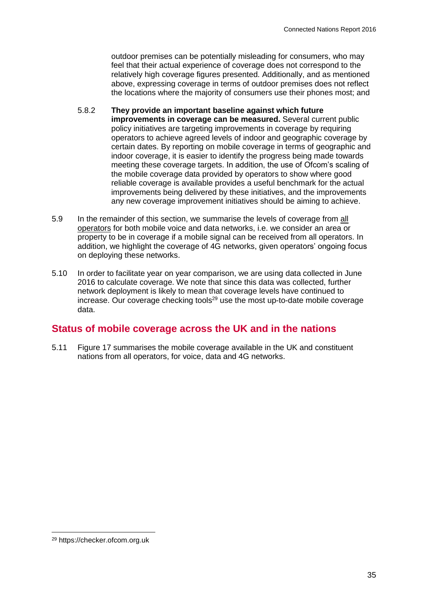outdoor premises can be potentially misleading for consumers, who may feel that their actual experience of coverage does not correspond to the relatively high coverage figures presented. Additionally, and as mentioned above, expressing coverage in terms of outdoor premises does not reflect the locations where the majority of consumers use their phones most; and

- 5.8.2 **They provide an important baseline against which future improvements in coverage can be measured.** Several current public policy initiatives are targeting improvements in coverage by requiring operators to achieve agreed levels of indoor and geographic coverage by certain dates. By reporting on mobile coverage in terms of geographic and indoor coverage, it is easier to identify the progress being made towards meeting these coverage targets. In addition, the use of Ofcom's scaling of the mobile coverage data provided by operators to show where good reliable coverage is available provides a useful benchmark for the actual improvements being delivered by these initiatives, and the improvements any new coverage improvement initiatives should be aiming to achieve.
- 5.9 In the remainder of this section, we summarise the levels of coverage from all operators for both mobile voice and data networks, i.e. we consider an area or property to be in coverage if a mobile signal can be received from all operators. In addition, we highlight the coverage of 4G networks, given operators' ongoing focus on deploying these networks.
- 5.10 In order to facilitate year on year comparison, we are using data collected in June 2016 to calculate coverage. We note that since this data was collected, further network deployment is likely to mean that coverage levels have continued to increase. Our coverage checking tools<sup>29</sup> use the most up-to-date mobile coverage data.

# **Status of mobile coverage across the UK and in the nations**

5.11 [Figure 17](#page-3-0) summarises the mobile coverage available in the UK and constituent nations from all operators, for voice, data and 4G networks.

<sup>29</sup> https://checker.ofcom.org.uk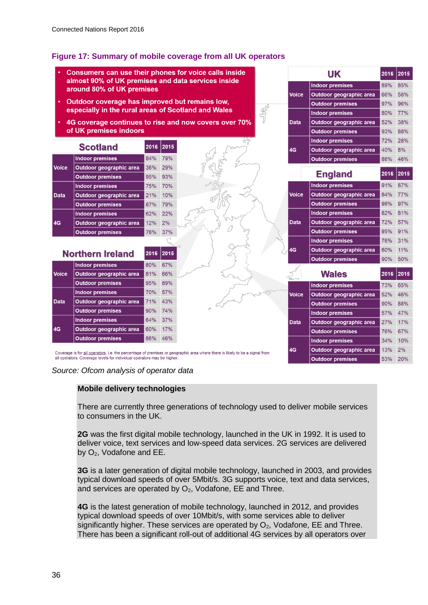## <span id="page-3-0"></span>**Figure 17: Summary of mobile coverage from all UK operators**

Consumers can use their phones for voice calls inside 2015 **UK** 2016 almost 90% of UK premises and data services inside **Indoor premises** 85%  $89%$ around 80% of UK premises Voice **Outdoor geographic area** 66% 58% Outdoor coverage has improved but remains low. **Outdoor premises** 97% 96% especially in the rural areas of Scotland and Wales **Indoor premises** 80% 77% 4G coverage continues to rise and now covers over 70% 52% 38% Data Outdoor geographic area of UK premises indoors **Outdoor premises** 93% 88% **Indoor premises** 72%  $28%$ 2016 2015 **Scotland**  $AC<sub>2</sub>$ Outdoor geographic area 40%  $R^{0/2}$ 84% 79% **Indoor premises Outdoor premises** 86% 46% 29% **Voice** Outdoor geographic area 36% 2016 2015 **England Outdoor premises** 95% 93% 91% 87% **Indoor premises** 75% 70% **Indoor premises** Voice 84% 77% 10% Outdoor geographic area Data Outdoor geographic area 21% **Outdoor premises** 87% 79% **Outdoor premises** 98% 97% **Indoor premises** 82% 81% 62% 22% **Indoor premises** Data Outdoor geographic area 72% 57%  $4G$ Outdoor geographic area  $12%$  $2%$ 76% **Outdoor premises** 95% 91% **Outdoor premises** 37% **Indoor premises**  $\mathcal{L}$ 76% 31%  $4G$ Outdoor geographic area 60% 11% **Northern Ireland** 2016  $|2015$ 50% **Outdoor premises** 90% 80% 67% **Indoor premises Voice** Outdoor geographic area 81% 66% **Wales** 2016 2015 95% 89% **Outdoor premises** 73% 65% **Indoor premises Indoor premises** 70% 57% Voice 52% 46% Outdoor geographic area Data Outdoor geographic area 71% 43% **Outdoor premises** 90% 88% 90% 74% **Outdoor premises Indoor premises** 57% 47% **Indoor premises** 64% 37% **Data** Outdoor geographic area 27% 17%  $4G$ 60% 17% Outdoor geographic area 76% **Outdoor premises** 67% **Outdoor premises** 86% 46% **Indoor premises** 34% 10% Outdoor geographic area 2% 4G 13% Coverage is for all operators, i.e. the percentage of premises or geographic area where there is likely to be a signal from all operators. Coverage levels for individual operators may be higher **Outdoor premises** 53% 20%

*Source: Ofcom analysis of operator data*

#### **Mobile delivery technologies**

There are currently three generations of technology used to deliver mobile services to consumers in the UK.

**2G** was the first digital mobile technology, launched in the UK in 1992. It is used to deliver voice, text services and low-speed data services. 2G services are delivered by O2, Vodafone and EE.

**3G** is a later generation of digital mobile technology, launched in 2003, and provides typical download speeds of over 5Mbit/s. 3G supports voice, text and data services, and services are operated by  $O_2$ , Vodafone, EE and Three.

**4G** is the latest generation of mobile technology, launched in 2012, and provides typical download speeds of over 10Mbit/s, with some services able to deliver significantly higher. These services are operated by  $O<sub>2</sub>$ , Vodafone, EE and Three. There has been a significant roll-out of additional 4G services by all operators over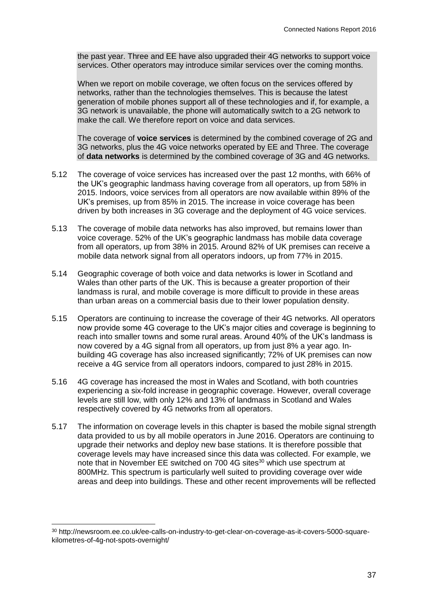the past year. Three and EE have also upgraded their 4G networks to support voice services. Other operators may introduce similar services over the coming months.

When we report on mobile coverage, we often focus on the services offered by networks, rather than the technologies themselves. This is because the latest generation of mobile phones support all of these technologies and if, for example, a 3G network is unavailable, the phone will automatically switch to a 2G network to make the call. We therefore report on voice and data services.

The coverage of **voice services** is determined by the combined coverage of 2G and 3G networks, plus the 4G voice networks operated by EE and Three. The coverage of **data networks** is determined by the combined coverage of 3G and 4G networks.

- 5.12 The coverage of voice services has increased over the past 12 months, with 66% of the UK's geographic landmass having coverage from all operators, up from 58% in 2015. Indoors, voice services from all operators are now available within 89% of the UK's premises, up from 85% in 2015. The increase in voice coverage has been driven by both increases in 3G coverage and the deployment of 4G voice services.
- 5.13 The coverage of mobile data networks has also improved, but remains lower than voice coverage. 52% of the UK's geographic landmass has mobile data coverage from all operators, up from 38% in 2015. Around 82% of UK premises can receive a mobile data network signal from all operators indoors, up from 77% in 2015.
- 5.14 Geographic coverage of both voice and data networks is lower in Scotland and Wales than other parts of the UK. This is because a greater proportion of their landmass is rural, and mobile coverage is more difficult to provide in these areas than urban areas on a commercial basis due to their lower population density.
- 5.15 Operators are continuing to increase the coverage of their 4G networks. All operators now provide some 4G coverage to the UK's major cities and coverage is beginning to reach into smaller towns and some rural areas. Around 40% of the UK's landmass is now covered by a 4G signal from all operators, up from just 8% a year ago. Inbuilding 4G coverage has also increased significantly; 72% of UK premises can now receive a 4G service from all operators indoors, compared to just 28% in 2015.
- 5.16 4G coverage has increased the most in Wales and Scotland, with both countries experiencing a six-fold increase in geographic coverage. However, overall coverage levels are still low, with only 12% and 13% of landmass in Scotland and Wales respectively covered by 4G networks from all operators.
- 5.17 The information on coverage levels in this chapter is based the mobile signal strength data provided to us by all mobile operators in June 2016. Operators are continuing to upgrade their networks and deploy new base stations. It is therefore possible that coverage levels may have increased since this data was collected. For example, we note that in November EE switched on 700 4G sites<sup>30</sup> which use spectrum at 800MHz. This spectrum is particularly well suited to providing coverage over wide areas and deep into buildings. These and other recent improvements will be reflected

 $\overline{a}$ 

<sup>30</sup> http://newsroom.ee.co.uk/ee-calls-on-industry-to-get-clear-on-coverage-as-it-covers-5000-squarekilometres-of-4g-not-spots-overnight/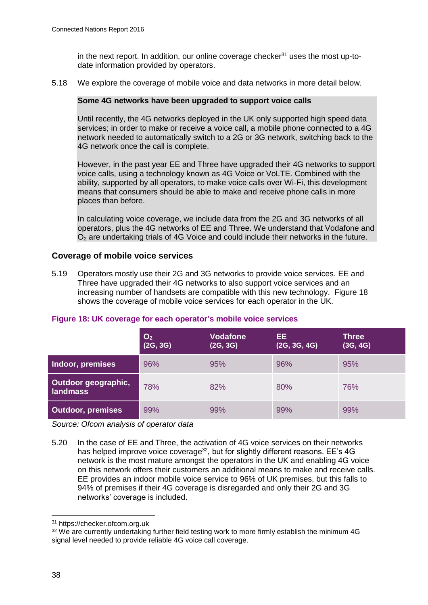in the next report. In addition, our online coverage checker $31$  uses the most up-todate information provided by operators.

5.18 We explore the coverage of mobile voice and data networks in more detail below.

#### **Some 4G networks have been upgraded to support voice calls**

Until recently, the 4G networks deployed in the UK only supported high speed data services; in order to make or receive a voice call, a mobile phone connected to a 4G network needed to automatically switch to a 2G or 3G network, switching back to the 4G network once the call is complete.

However, in the past year EE and Three have upgraded their 4G networks to support voice calls, using a technology known as 4G Voice or VoLTE. Combined with the ability, supported by all operators, to make voice calls over Wi-Fi, this development means that consumers should be able to make and receive phone calls in more places than before.

In calculating voice coverage, we include data from the 2G and 3G networks of all operators, plus the 4G networks of EE and Three. We understand that Vodafone and O<sup>2</sup> are undertaking trials of 4G Voice and could include their networks in the future.

#### **Coverage of mobile voice services**

5.19 Operators mostly use their 2G and 3G networks to provide voice services. EE and Three have upgraded their 4G networks to also support voice services and an increasing number of handsets are compatible with this new technology. [Figure 18](#page-5-0) shows the coverage of mobile voice services for each operator in the UK.

|                                 | O <sub>2</sub><br>(2G, 3G) | <b>Vodafone</b><br>(2G, 3G) | EE<br>(2G, 3G, 4G) | <b>Three</b><br>(3G, 4G) |
|---------------------------------|----------------------------|-----------------------------|--------------------|--------------------------|
| Indoor, premises                | 96%                        | 95%                         | 96%                | 95%                      |
| Outdoor geographic,<br>landmass | 78%                        | 82%                         | 80%                | 76%                      |
| <b>Outdoor, premises</b>        | 99%                        | 99%                         | 99%                | 99%                      |

#### <span id="page-5-0"></span>**Figure 18: UK coverage for each operator's mobile voice services**

*Source: Ofcom analysis of operator data*

5.20 In the case of EE and Three, the activation of 4G voice services on their networks has helped improve voice coverage<sup>32</sup>, but for slightly different reasons. EE's 4G network is the most mature amongst the operators in the UK and enabling 4G voice on this network offers their customers an additional means to make and receive calls. EE provides an indoor mobile voice service to 96% of UK premises, but this falls to 94% of premises if their 4G coverage is disregarded and only their 2G and 3G networks' coverage is included.

<sup>31</sup> https://checker.ofcom.org.uk

<sup>&</sup>lt;sup>32</sup> We are currently undertaking further field testing work to more firmly establish the minimum 4G signal level needed to provide reliable 4G voice call coverage.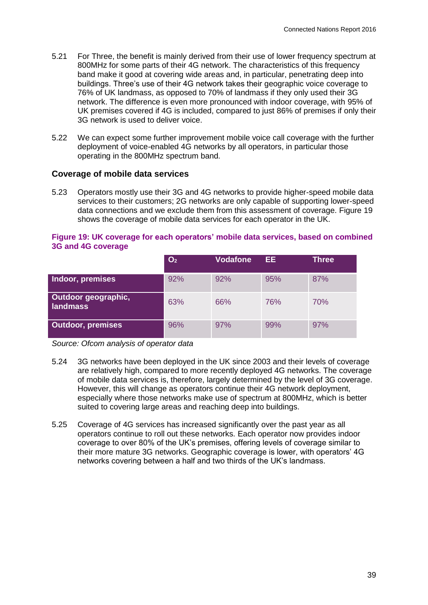- 5.21 For Three, the benefit is mainly derived from their use of lower frequency spectrum at 800MHz for some parts of their 4G network. The characteristics of this frequency band make it good at covering wide areas and, in particular, penetrating deep into buildings. Three's use of their 4G network takes their geographic voice coverage to 76% of UK landmass, as opposed to 70% of landmass if they only used their 3G network. The difference is even more pronounced with indoor coverage, with 95% of UK premises covered if 4G is included, compared to just 86% of premises if only their 3G network is used to deliver voice.
- 5.22 We can expect some further improvement mobile voice call coverage with the further deployment of voice-enabled 4G networks by all operators, in particular those operating in the 800MHz spectrum band.

#### **Coverage of mobile data services**

5.23 Operators mostly use their 3G and 4G networks to provide higher-speed mobile data services to their customers; 2G networks are only capable of supporting lower-speed data connections and we exclude them from this assessment of coverage. [Figure 19](#page-6-0) shows the coverage of mobile data services for each operator in the UK.

#### <span id="page-6-0"></span>**Figure 19: UK coverage for each operators' mobile data services, based on combined 3G and 4G coverage**

|                                        | O <sub>2</sub> | <b>Vodafone</b> | EE. | Three |
|----------------------------------------|----------------|-----------------|-----|-------|
| Indoor, premises                       | 92%            | 92%             | 95% | 87%   |
| Outdoor geographic,<br><b>landmass</b> | 63%            | 66%             | 76% | 70%   |
| <b>Outdoor, premises</b>               | 96%            | 97%             | 99% | 97%   |

*Source: Ofcom analysis of operator data*

- 5.24 3G networks have been deployed in the UK since 2003 and their levels of coverage are relatively high, compared to more recently deployed 4G networks. The coverage of mobile data services is, therefore, largely determined by the level of 3G coverage. However, this will change as operators continue their 4G network deployment, especially where those networks make use of spectrum at 800MHz, which is better suited to covering large areas and reaching deep into buildings.
- 5.25 Coverage of 4G services has increased significantly over the past year as all operators continue to roll out these networks. Each operator now provides indoor coverage to over 80% of the UK's premises, offering levels of coverage similar to their more mature 3G networks. Geographic coverage is lower, with operators' 4G networks covering between a half and two thirds of the UK's landmass.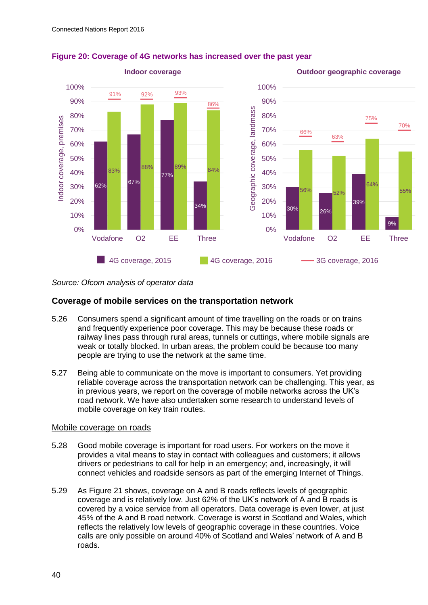

## <span id="page-7-0"></span>**Figure 20: Coverage of 4G networks has increased over the past year**

*Source: Ofcom analysis of operator data*

### **Coverage of mobile services on the transportation network**

- 5.26 Consumers spend a significant amount of time travelling on the roads or on trains and frequently experience poor coverage. This may be because these roads or railway lines pass through rural areas, tunnels or cuttings, where mobile signals are weak or totally blocked. In urban areas, the problem could be because too many people are trying to use the network at the same time.
- 5.27 Being able to communicate on the move is important to consumers. Yet providing reliable coverage across the transportation network can be challenging. This year, as in previous years, we report on the coverage of mobile networks across the UK's road network. We have also undertaken some research to understand levels of mobile coverage on key train routes.

#### Mobile coverage on roads

- 5.28 Good mobile coverage is important for road users. For workers on the move it provides a vital means to stay in contact with colleagues and customers; it allows drivers or pedestrians to call for help in an emergency; and, increasingly, it will connect vehicles and roadside sensors as part of the emerging Internet of Things.
- 5.29 As [Figure 21](#page-8-0) shows, coverage on A and B roads reflects levels of geographic coverage and is relatively low. Just 62% of the UK's network of A and B roads is covered by a voice service from all operators. Data coverage is even lower, at just 45% of the A and B road network. Coverage is worst in Scotland and Wales, which reflects the relatively low levels of geographic coverage in these countries. Voice calls are only possible on around 40% of Scotland and Wales' network of A and B roads.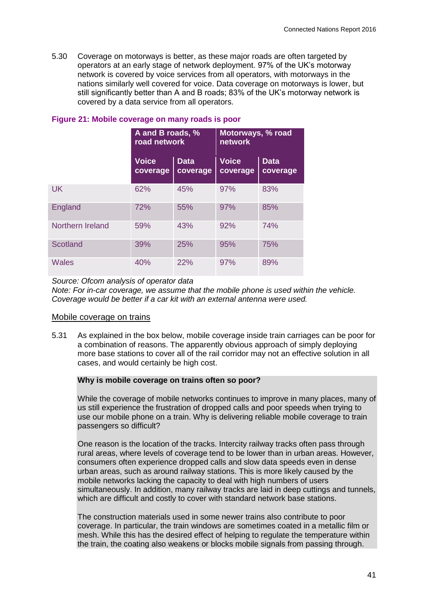5.30 Coverage on motorways is better, as these major roads are often targeted by operators at an early stage of network deployment. 97% of the UK's motorway network is covered by voice services from all operators, with motorways in the nations similarly well covered for voice. Data coverage on motorways is lower, but still significantly better than A and B roads; 83% of the UK's motorway network is covered by a data service from all operators.

|                  | A and B roads, %<br>road network |                         | Motorways, % road<br>network |                         |  |
|------------------|----------------------------------|-------------------------|------------------------------|-------------------------|--|
|                  | <b>Voice</b><br>coverage         | <b>Data</b><br>coverage | <b>Voice</b><br>coverage     | <b>Data</b><br>coverage |  |
| <b>UK</b>        | 62%                              | 45%                     | 97%                          | 83%                     |  |
| England          | 72%                              | 55%                     | 97%                          | 85%                     |  |
| Northern Ireland | 59%                              | 43%                     | 92%                          | 74%                     |  |
| Scotland         | 39%                              | 25%                     | 95%                          | 75%                     |  |
| <b>Wales</b>     | 40%                              | 22%                     | 97%                          | 89%                     |  |

#### <span id="page-8-0"></span>**Figure 21: Mobile coverage on many roads is poor**

*Source: Ofcom analysis of operator data*

*Note: For in-car coverage, we assume that the mobile phone is used within the vehicle. Coverage would be better if a car kit with an external antenna were used.*

#### Mobile coverage on trains

5.31 As explained in the box below, mobile coverage inside train carriages can be poor for a combination of reasons. The apparently obvious approach of simply deploying more base stations to cover all of the rail corridor may not an effective solution in all cases, and would certainly be high cost.

#### **Why is mobile coverage on trains often so poor?**

While the coverage of mobile networks continues to improve in many places, many of us still experience the frustration of dropped calls and poor speeds when trying to use our mobile phone on a train. Why is delivering reliable mobile coverage to train passengers so difficult?

One reason is the location of the tracks. Intercity railway tracks often pass through rural areas, where levels of coverage tend to be lower than in urban areas. However, consumers often experience dropped calls and slow data speeds even in dense urban areas, such as around railway stations. This is more likely caused by the mobile networks lacking the capacity to deal with high numbers of users simultaneously. In addition, many railway tracks are laid in deep cuttings and tunnels, which are difficult and costly to cover with standard network base stations.

The construction materials used in some newer trains also contribute to poor coverage. In particular, the train windows are sometimes coated in a metallic film or mesh. While this has the desired effect of helping to regulate the temperature within the train, the coating also weakens or blocks mobile signals from passing through.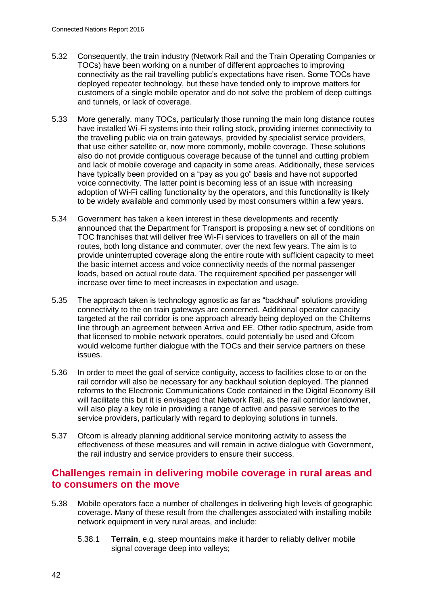- 5.32 Consequently, the train industry (Network Rail and the Train Operating Companies or TOCs) have been working on a number of different approaches to improving connectivity as the rail travelling public's expectations have risen. Some TOCs have deployed repeater technology, but these have tended only to improve matters for customers of a single mobile operator and do not solve the problem of deep cuttings and tunnels, or lack of coverage.
- 5.33 More generally, many TOCs, particularly those running the main long distance routes have installed Wi-Fi systems into their rolling stock, providing internet connectivity to the travelling public via on train gateways, provided by specialist service providers, that use either satellite or, now more commonly, mobile coverage. These solutions also do not provide contiguous coverage because of the tunnel and cutting problem and lack of mobile coverage and capacity in some areas. Additionally, these services have typically been provided on a "pay as you go" basis and have not supported voice connectivity. The latter point is becoming less of an issue with increasing adoption of Wi-Fi calling functionality by the operators, and this functionality is likely to be widely available and commonly used by most consumers within a few years.
- 5.34 Government has taken a keen interest in these developments and recently announced that the Department for Transport is proposing a new set of conditions on TOC franchises that will deliver free Wi-Fi services to travellers on all of the main routes, both long distance and commuter, over the next few years. The aim is to provide uninterrupted coverage along the entire route with sufficient capacity to meet the basic internet access and voice connectivity needs of the normal passenger loads, based on actual route data. The requirement specified per passenger will increase over time to meet increases in expectation and usage.
- 5.35 The approach taken is technology agnostic as far as "backhaul" solutions providing connectivity to the on train gateways are concerned. Additional operator capacity targeted at the rail corridor is one approach already being deployed on the Chilterns line through an agreement between Arriva and EE. Other radio spectrum, aside from that licensed to mobile network operators, could potentially be used and Ofcom would welcome further dialogue with the TOCs and their service partners on these issues.
- 5.36 In order to meet the goal of service contiguity, access to facilities close to or on the rail corridor will also be necessary for any backhaul solution deployed. The planned reforms to the Electronic Communications Code contained in the Digital Economy Bill will facilitate this but it is envisaged that Network Rail, as the rail corridor landowner, will also play a key role in providing a range of active and passive services to the service providers, particularly with regard to deploying solutions in tunnels.
- 5.37 Ofcom is already planning additional service monitoring activity to assess the effectiveness of these measures and will remain in active dialogue with Government, the rail industry and service providers to ensure their success.

# **Challenges remain in delivering mobile coverage in rural areas and to consumers on the move**

- 5.38 Mobile operators face a number of challenges in delivering high levels of geographic coverage. Many of these result from the challenges associated with installing mobile network equipment in very rural areas, and include:
	- 5.38.1 **Terrain**, e.g. steep mountains make it harder to reliably deliver mobile signal coverage deep into valleys: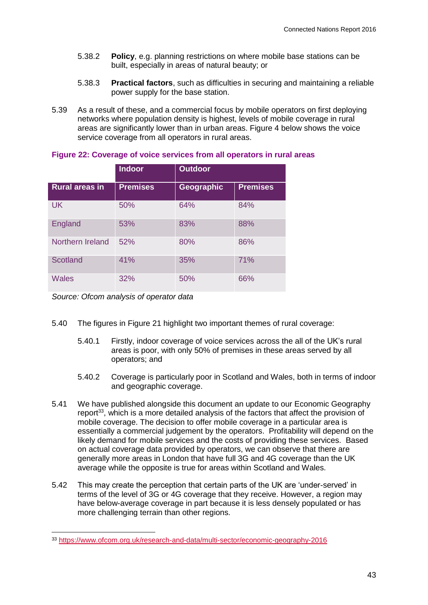- 5.38.2 **Policy**, e.g. planning restrictions on where mobile base stations can be built, especially in areas of natural beauty; or
- 5.38.3 **Practical factors**, such as difficulties in securing and maintaining a reliable power supply for the base station.
- 5.39 As a result of these, and a commercial focus by mobile operators on first deploying networks where population density is highest, levels of mobile coverage in rural areas are significantly lower than in urban areas. Figure 4 below shows the voice service coverage from all operators in rural areas.

|                       | <b>Indoor</b>   | <b>Outdoor</b> |                 |
|-----------------------|-----------------|----------------|-----------------|
| <b>Rural areas in</b> | <b>Premises</b> | Geographic     | <b>Premises</b> |
| <b>UK</b>             | 50%             | 64%            | 84%             |
| England               | 53%             | 83%            | 88%             |
| Northern Ireland      | 52%             | 80%            | 86%             |
| Scotland              | 41%             | 35%            | 71%             |
| Wales                 | 32%             | 50%            | 66%             |

#### **Figure 22: Coverage of voice services from all operators in rural areas**

*Source: Ofcom analysis of operator data*

- 5.40 The figures in [Figure 21](#page-8-0) highlight two important themes of rural coverage:
	- 5.40.1 Firstly, indoor coverage of voice services across the all of the UK's rural areas is poor, with only 50% of premises in these areas served by all operators; and
	- 5.40.2 Coverage is particularly poor in Scotland and Wales, both in terms of indoor and geographic coverage.
- 5.41 We have published alongside this document an update to our Economic Geography report<sup>33</sup>, which is a more detailed analysis of the factors that affect the provision of mobile coverage. The decision to offer mobile coverage in a particular area is essentially a commercial judgement by the operators. Profitability will depend on the likely demand for mobile services and the costs of providing these services. Based on actual coverage data provided by operators, we can observe that there are generally more areas in London that have full 3G and 4G coverage than the UK average while the opposite is true for areas within Scotland and Wales.
- 5.42 This may create the perception that certain parts of the UK are 'under-served' in terms of the level of 3G or 4G coverage that they receive. However, a region may have below-average coverage in part because it is less densely populated or has more challenging terrain than other regions.

<sup>33</sup> <https://www.ofcom.org.uk/research-and-data/multi-sector/economic-geography-2016>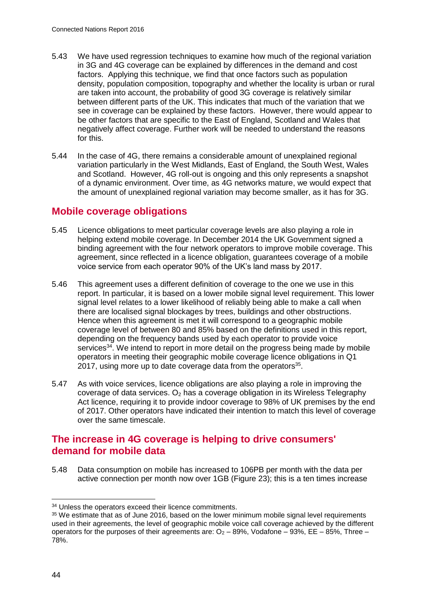- 5.43 We have used regression techniques to examine how much of the regional variation in 3G and 4G coverage can be explained by differences in the demand and cost factors. Applying this technique, we find that once factors such as population density, population composition, topography and whether the locality is urban or rural are taken into account, the probability of good 3G coverage is relatively similar between different parts of the UK. This indicates that much of the variation that we see in coverage can be explained by these factors. However, there would appear to be other factors that are specific to the East of England, Scotland and Wales that negatively affect coverage. Further work will be needed to understand the reasons for this.
- 5.44 In the case of 4G, there remains a considerable amount of unexplained regional variation particularly in the West Midlands, East of England, the South West, Wales and Scotland. However, 4G roll-out is ongoing and this only represents a snapshot of a dynamic environment. Over time, as 4G networks mature, we would expect that the amount of unexplained regional variation may become smaller, as it has for 3G.

# **Mobile coverage obligations**

- 5.45 Licence obligations to meet particular coverage levels are also playing a role in helping extend mobile coverage. In December 2014 the UK Government signed a binding agreement with the four network operators to improve mobile coverage. This agreement, since reflected in a licence obligation, guarantees coverage of a mobile voice service from each operator 90% of the UK's land mass by 2017.
- 5.46 This agreement uses a different definition of coverage to the one we use in this report. In particular, it is based on a lower mobile signal level requirement. This lower signal level relates to a lower likelihood of reliably being able to make a call when there are localised signal blockages by trees, buildings and other obstructions. Hence when this agreement is met it will correspond to a geographic mobile coverage level of between 80 and 85% based on the definitions used in this report, depending on the frequency bands used by each operator to provide voice services<sup>34</sup>. We intend to report in more detail on the progress being made by mobile operators in meeting their geographic mobile coverage licence obligations in Q1 2017, using more up to date coverage data from the operators $35$ .
- 5.47 As with voice services, licence obligations are also playing a role in improving the coverage of data services.  $O_2$  has a coverage obligation in its Wireless Telegraphy Act licence, requiring it to provide indoor coverage to 98% of UK premises by the end of 2017. Other operators have indicated their intention to match this level of coverage over the same timescale.

# **The increase in 4G coverage is helping to drive consumers' demand for mobile data**

5.48 Data consumption on mobile has increased to 106PB per month with the data per active connection per month now over 1GB [\(Figure 23\)](#page-12-0); this is a ten times increase

<sup>&</sup>lt;sup>34</sup> Unless the operators exceed their licence commitments.

<sup>&</sup>lt;sup>35</sup> We estimate that as of June 2016, based on the lower minimum mobile signal level requirements used in their agreements, the level of geographic mobile voice call coverage achieved by the different operators for the purposes of their agreements are:  $O_2 - 89$ %, Vodafone – 93%, EE – 85%, Three – 78%.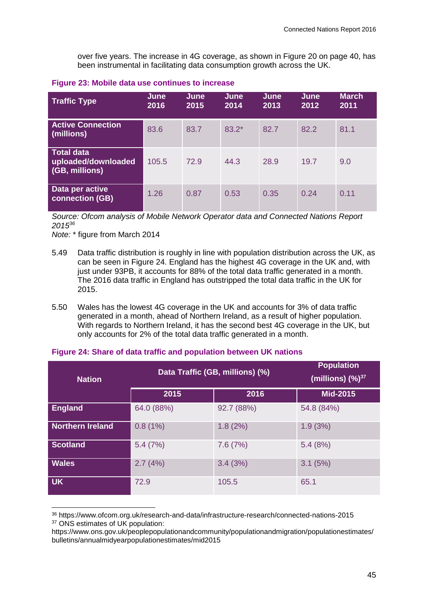over five years. The increase in 4G coverage, as shown in [Figure 20](#page-7-0) on page [40,](#page-7-0) has been instrumental in facilitating data consumption growth across the UK.

| <b>Traffic Type</b>                                        | June<br>2016 | June<br>2015 | June<br>2014 | <b>June</b><br>2013 | June<br>2012 | <b>March</b><br>2011 |
|------------------------------------------------------------|--------------|--------------|--------------|---------------------|--------------|----------------------|
| <b>Active Connection</b><br>(millions)                     | 83.6         | 83.7         | $83.2*$      | 82.7                | 82.2         | 81.1                 |
| <b>Total data</b><br>uploaded/downloaded<br>(GB, millions) | 105.5        | 72.9         | 44.3         | 28.9                | 19.7         | 9.0                  |
| Data per active<br><b>connection (GB)</b>                  | 1.26         | 0.87         | 0.53         | 0.35                | 0.24         | 0.11                 |

#### <span id="page-12-0"></span>**Figure 23: Mobile data use continues to increase**

*Source: Ofcom analysis of Mobile Network Operator data and Connected Nations Report 2015<sup>36</sup>*

*Note:* \* figure from March 2014

-

- 5.49 Data traffic distribution is roughly in line with population distribution across the UK, as can be seen in [Figure 24.](#page-12-1) England has the highest 4G coverage in the UK and, with just under 93PB, it accounts for 88% of the total data traffic generated in a month. The 2016 data traffic in England has outstripped the total data traffic in the UK for 2015.
- 5.50 Wales has the lowest 4G coverage in the UK and accounts for 3% of data traffic generated in a month, ahead of Northern Ireland, as a result of higher population. With regards to Northern Ireland, it has the second best 4G coverage in the UK, but only accounts for 2% of the total data traffic generated in a month.

| <b>Nation</b>           | Data Traffic (GB, millions) (%) | <b>Population</b><br>(millions) $(\frac{9}{6})^{37}$ |                 |
|-------------------------|---------------------------------|------------------------------------------------------|-----------------|
|                         | 2015                            | 2016                                                 | <b>Mid-2015</b> |
| <b>England</b>          | 64.0 (88%)                      | 92.7 (88%)                                           | 54.8 (84%)      |
| <b>Northern Ireland</b> | 0.8(1%)                         | 1.8(2%)                                              | 1.9(3%)         |
| <b>Scotland</b>         | 5.4(7%)                         | 7.6(7%)                                              | 5.4(8%)         |
| <b>Wales</b>            | 2.7(4%)                         | 3.4(3%)                                              | 3.1(5%)         |
| <b>UK</b>               | 72.9                            | 105.5                                                | 65.1            |

#### <span id="page-12-1"></span>**Figure 24: Share of data traffic and population between UK nations**

<sup>36</sup> https://www.ofcom.org.uk/research-and-data/infrastructure-research/connected-nations-2015 <sup>37</sup> ONS estimates of UK population:

https://www.ons.gov.uk/peoplepopulationandcommunity/populationandmigration/populationestimates/ bulletins/annualmidyearpopulationestimates/mid2015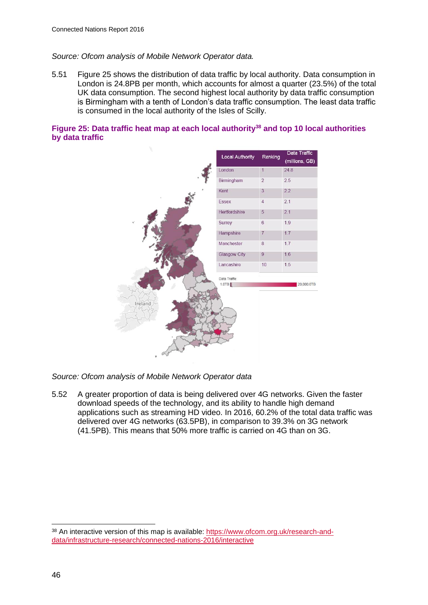#### *Source: Ofcom analysis of Mobile Network Operator data.*

5.51 [Figure 25](#page-13-0) shows the distribution of data traffic by local authority. Data consumption in London is 24.8PB per month, which accounts for almost a quarter (23.5%) of the total UK data consumption. The second highest local authority by data traffic consumption is Birmingham with a tenth of London's data traffic consumption. The least data traffic is consumed in the local authority of the Isles of Scilly.

#### <span id="page-13-0"></span>**Figure 25: Data traffic heat map at each local authority<sup>38</sup> and top 10 local authorities by data traffic**



*Source: Ofcom analysis of Mobile Network Operator data*

5.52 A greater proportion of data is being delivered over 4G networks. Given the faster download speeds of the technology, and its ability to handle high demand applications such as streaming HD video. In 2016, 60.2% of the total data traffic was delivered over 4G networks (63.5PB), in comparison to 39.3% on 3G network (41.5PB). This means that 50% more traffic is carried on 4G than on 3G.

 $\overline{a}$ 

<sup>38</sup> An interactive version of this map is available: [https://www.ofcom.org.uk/research-and](https://www.ofcom.org.uk/research-and-data/infrastructure-research/connected-nations-2016/interactive)[data/infrastructure-research/connected-nations-2016/interactive](https://www.ofcom.org.uk/research-and-data/infrastructure-research/connected-nations-2016/interactive)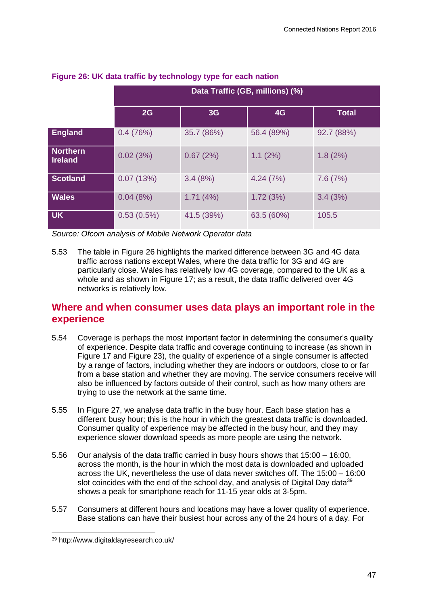|                                   | Data Traffic (GB, millions) (%) |            |            |              |  |
|-----------------------------------|---------------------------------|------------|------------|--------------|--|
|                                   | 2G                              | 3G         | 4G         | <b>Total</b> |  |
| <b>England</b>                    | 0.4(76%)                        | 35.7 (86%) | 56.4 (89%) | 92.7 (88%)   |  |
| <b>Northern</b><br><b>Ireland</b> | 0.02(3%)                        | 0.67(2%)   | 1.1(2%)    | 1.8(2%)      |  |
| <b>Scotland</b>                   | 0.07(13%)                       | 3.4(8%)    | 4.24(7%)   | 7.6(7%)      |  |
| <b>Wales</b>                      | 0.04(8%)                        | 1.71(4%)   | 1.72(3%)   | 3.4(3%)      |  |
| <b>UK</b>                         | $0.53(0.5\%)$                   | 41.5 (39%) | 63.5 (60%) | 105.5        |  |

## <span id="page-14-0"></span>**Figure 26: UK data traffic by technology type for each nation**

*Source: Ofcom analysis of Mobile Network Operator data*

5.53 The table in [Figure 26](#page-14-0) highlights the marked difference between 3G and 4G data traffic across nations except Wales, where the data traffic for 3G and 4G are particularly close. Wales has relatively low 4G coverage, compared to the UK as a whole and as shown in [Figure 17;](#page-3-0) as a result, the data traffic delivered over 4G networks is relatively low.

# **Where and when consumer uses data plays an important role in the experience**

- 5.54 Coverage is perhaps the most important factor in determining the consumer's quality of experience. Despite data traffic and coverage continuing to increase (as shown in [Figure 17](#page-3-0) and [Figure 23\)](#page-12-0), the quality of experience of a single consumer is affected by a range of factors, including whether they are indoors or outdoors, close to or far from a base station and whether they are moving. The service consumers receive will also be influenced by factors outside of their control, such as how many others are trying to use the network at the same time.
- 5.55 In [Figure 27,](#page-15-0) we analyse data traffic in the busy hour. Each base station has a different busy hour; this is the hour in which the greatest data traffic is downloaded. Consumer quality of experience may be affected in the busy hour, and they may experience slower download speeds as more people are using the network.
- 5.56 Our analysis of the data traffic carried in busy hours shows that 15:00 16:00, across the month, is the hour in which the most data is downloaded and uploaded across the UK, nevertheless the use of data never switches off. The 15:00 – 16:00 slot coincides with the end of the school day, and analysis of Digital Day data<sup>39</sup> shows a peak for smartphone reach for 11-15 year olds at 3-5pm.
- 5.57 Consumers at different hours and locations may have a lower quality of experience. Base stations can have their busiest hour across any of the 24 hours of a day. For

<sup>39</sup> http://www.digitaldayresearch.co.uk/